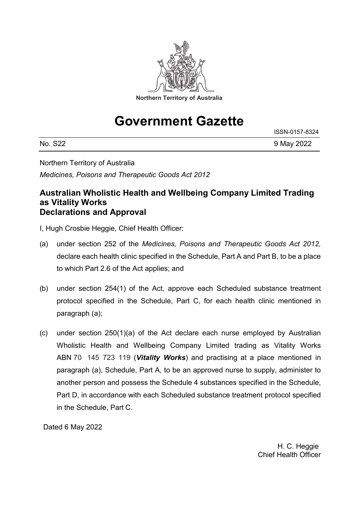

# **Government Gazette**

| No.<br><b>S22</b> | 9 May 2022 |
|-------------------|------------|

Northern Territory of Australia

*Medicines, Poisons and Therapeutic Goods Act 2012*

## **Australian Wholistic Health and Wellbeing Company Limited Trading as Vitality Works Declarations and Approval**

I, Hugh Crosbie Heggie, Chief Health Officer:

- (a) under section 252 of the *Medicines, Poisons and Therapeutic Goods Act 2012,*  declare each health clinic specified in the Schedule, Part A and Part B, to be a place to which Part 2.6 of the Act applies; and
- (b) under section 254(1) of the Act, approve each Scheduled substance treatment protocol specified in the Schedule, Part C, for each health clinic mentioned in paragraph (a);
- (c) under section 250(1)(a) of the Act declare each nurse employed by Australian Wholistic Health and Wellbeing Company Limited trading as Vitality Works ABN 70 145 723 119 (*Vitality Works*) and practising at a place mentioned in paragraph (a), Schedule, Part A, to be an approved nurse to supply, administer to another person and possess the Schedule 4 substances specified in the Schedule, Part D, in accordance with each Scheduled substance treatment protocol specified in the Schedule, Part C.

Dated 6 May 2022

H. C. Heggie Chief Health Officer

ISSN-0157-8324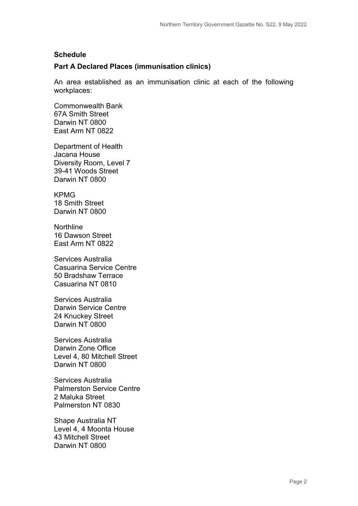#### **Schedule**

#### **Part A Declared Places (immunisation clinics)**

An area established as an immunisation clinic at each of the following workplaces:

Commonwealth Bank 67A Smith Street Darwin NT 0800 East Arm NT 0822

Department of Health Jacana House Diversity Room, Level 7 39-41 Woods Street Darwin NT 0800

KPMG 18 Smith Street Darwin NT 0800

Northline 16 Dawson Street East Arm NT 0822

Services Australia Casuarina Service Centre 50 Bradshaw Terrace Casuarina NT 0810

Services Australia Darwin Service Centre 24 Knuckey Street Darwin NT 0800

Services Australia Darwin Zone Office Level 4, 80 Mitchell Street Darwin NT 0800

Services Australia Palmerston Service Centre 2 Maluka Street Palmerston NT 0830

Shape Australia NT Level 4, 4 Moonta House 43 Mitchell Street Darwin NT 0800